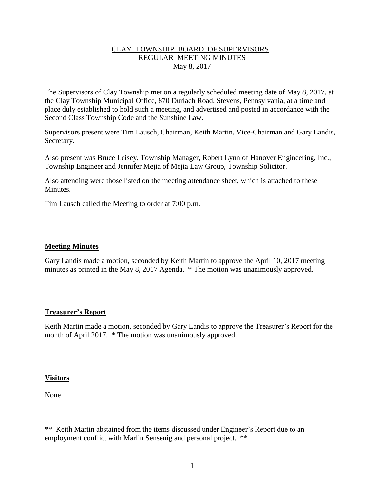# CLAY TOWNSHIP BOARD OF SUPERVISORS REGULAR MEETING MINUTES May 8, 2017

The Supervisors of Clay Township met on a regularly scheduled meeting date of May 8, 2017, at the Clay Township Municipal Office, 870 Durlach Road, Stevens, Pennsylvania, at a time and place duly established to hold such a meeting, and advertised and posted in accordance with the Second Class Township Code and the Sunshine Law.

Supervisors present were Tim Lausch, Chairman, Keith Martin, Vice-Chairman and Gary Landis, Secretary.

Also present was Bruce Leisey, Township Manager, Robert Lynn of Hanover Engineering, Inc., Township Engineer and Jennifer Mejia of Mejia Law Group, Township Solicitor.

Also attending were those listed on the meeting attendance sheet, which is attached to these **Minutes** 

Tim Lausch called the Meeting to order at 7:00 p.m.

# **Meeting Minutes**

Gary Landis made a motion, seconded by Keith Martin to approve the April 10, 2017 meeting minutes as printed in the May 8, 2017 Agenda. \* The motion was unanimously approved.

# **Treasurer's Report**

Keith Martin made a motion, seconded by Gary Landis to approve the Treasurer's Report for the month of April 2017. \* The motion was unanimously approved.

#### **Visitors**

None

\*\* Keith Martin abstained from the items discussed under Engineer's Report due to an employment conflict with Marlin Sensenig and personal project. \*\*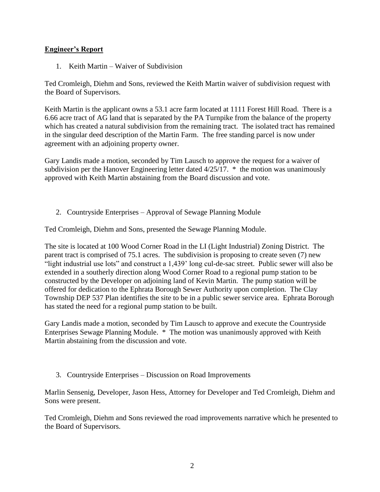# **Engineer's Report**

1. Keith Martin – Waiver of Subdivision

Ted Cromleigh, Diehm and Sons, reviewed the Keith Martin waiver of subdivision request with the Board of Supervisors.

Keith Martin is the applicant owns a 53.1 acre farm located at 1111 Forest Hill Road. There is a 6.66 acre tract of AG land that is separated by the PA Turnpike from the balance of the property which has created a natural subdivision from the remaining tract. The isolated tract has remained in the singular deed description of the Martin Farm. The free standing parcel is now under agreement with an adjoining property owner.

Gary Landis made a motion, seconded by Tim Lausch to approve the request for a waiver of subdivision per the Hanover Engineering letter dated 4/25/17. \* the motion was unanimously approved with Keith Martin abstaining from the Board discussion and vote.

2. Countryside Enterprises – Approval of Sewage Planning Module

Ted Cromleigh, Diehm and Sons, presented the Sewage Planning Module.

The site is located at 100 Wood Corner Road in the LI (Light Industrial) Zoning District. The parent tract is comprised of 75.1 acres. The subdivision is proposing to create seven (7) new "light industrial use lots" and construct a 1,439' long cul-de-sac street. Public sewer will also be extended in a southerly direction along Wood Corner Road to a regional pump station to be constructed by the Developer on adjoining land of Kevin Martin. The pump station will be offered for dedication to the Ephrata Borough Sewer Authority upon completion. The Clay Township DEP 537 Plan identifies the site to be in a public sewer service area. Ephrata Borough has stated the need for a regional pump station to be built.

Gary Landis made a motion, seconded by Tim Lausch to approve and execute the Countryside Enterprises Sewage Planning Module. \* The motion was unanimously approved with Keith Martin abstaining from the discussion and vote.

3. Countryside Enterprises – Discussion on Road Improvements

Marlin Sensenig, Developer, Jason Hess, Attorney for Developer and Ted Cromleigh, Diehm and Sons were present.

Ted Cromleigh, Diehm and Sons reviewed the road improvements narrative which he presented to the Board of Supervisors.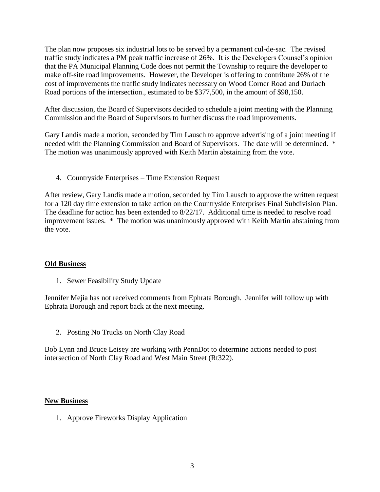The plan now proposes six industrial lots to be served by a permanent cul-de-sac. The revised traffic study indicates a PM peak traffic increase of 26%. It is the Developers Counsel's opinion that the PA Municipal Planning Code does not permit the Township to require the developer to make off-site road improvements. However, the Developer is offering to contribute 26% of the cost of improvements the traffic study indicates necessary on Wood Corner Road and Durlach Road portions of the intersection., estimated to be \$377,500, in the amount of \$98,150.

After discussion, the Board of Supervisors decided to schedule a joint meeting with the Planning Commission and the Board of Supervisors to further discuss the road improvements.

Gary Landis made a motion, seconded by Tim Lausch to approve advertising of a joint meeting if needed with the Planning Commission and Board of Supervisors. The date will be determined. \* The motion was unanimously approved with Keith Martin abstaining from the vote.

4. Countryside Enterprises – Time Extension Request

After review, Gary Landis made a motion, seconded by Tim Lausch to approve the written request for a 120 day time extension to take action on the Countryside Enterprises Final Subdivision Plan. The deadline for action has been extended to 8/22/17. Additional time is needed to resolve road improvement issues. \* The motion was unanimously approved with Keith Martin abstaining from the vote.

#### **Old Business**

1. Sewer Feasibility Study Update

Jennifer Mejia has not received comments from Ephrata Borough. Jennifer will follow up with Ephrata Borough and report back at the next meeting.

2. Posting No Trucks on North Clay Road

Bob Lynn and Bruce Leisey are working with PennDot to determine actions needed to post intersection of North Clay Road and West Main Street (Rt322).

#### **New Business**

1. Approve Fireworks Display Application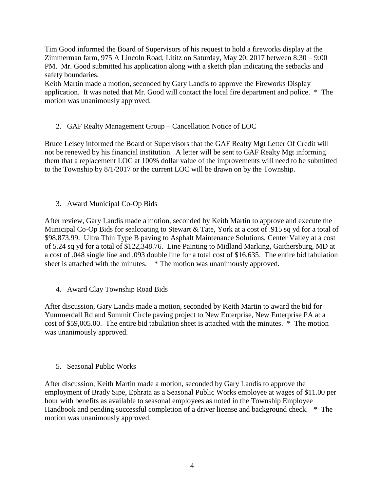Tim Good informed the Board of Supervisors of his request to hold a fireworks display at the Zimmerman farm, 975 A Lincoln Road, Lititz on Saturday, May 20, 2017 between 8:30 – 9:00 PM. Mr. Good submitted his application along with a sketch plan indicating the setbacks and safety boundaries.

Keith Martin made a motion, seconded by Gary Landis to approve the Fireworks Display application. It was noted that Mr. Good will contact the local fire department and police. \* The motion was unanimously approved.

# 2. GAF Realty Management Group – Cancellation Notice of LOC

Bruce Leisey informed the Board of Supervisors that the GAF Realty Mgt Letter Of Credit will not be renewed by his financial institution. A letter will be sent to GAF Realty Mgt informing them that a replacement LOC at 100% dollar value of the improvements will need to be submitted to the Township by 8/1/2017 or the current LOC will be drawn on by the Township.

3. Award Municipal Co-Op Bids

After review, Gary Landis made a motion, seconded by Keith Martin to approve and execute the Municipal Co-Op Bids for sealcoating to Stewart & Tate, York at a cost of .915 sq yd for a total of \$98,873.99. Ultra Thin Type B paving to Asphalt Maintenance Solutions, Center Valley at a cost of 5.24 sq yd for a total of \$122,348.76. Line Painting to Midland Marking, Gaithersburg, MD at a cost of .048 single line and .093 double line for a total cost of \$16,635. The entire bid tabulation sheet is attached with the minutes. \* The motion was unanimously approved.

4. Award Clay Township Road Bids

After discussion, Gary Landis made a motion, seconded by Keith Martin to award the bid for Yummerdall Rd and Summit Circle paving project to New Enterprise, New Enterprise PA at a cost of \$59,005.00. The entire bid tabulation sheet is attached with the minutes. \* The motion was unanimously approved.

5. Seasonal Public Works

After discussion, Keith Martin made a motion, seconded by Gary Landis to approve the employment of Brady Sipe, Ephrata as a Seasonal Public Works employee at wages of \$11.00 per hour with benefits as available to seasonal employees as noted in the Township Employee Handbook and pending successful completion of a driver license and background check. \* The motion was unanimously approved.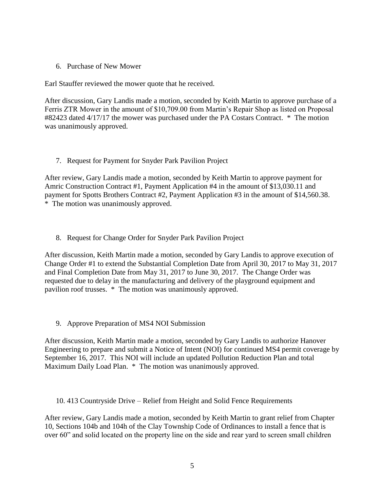6. Purchase of New Mower

Earl Stauffer reviewed the mower quote that he received.

After discussion, Gary Landis made a motion, seconded by Keith Martin to approve purchase of a Ferris ZTR Mower in the amount of \$10,709.00 from Martin's Repair Shop as listed on Proposal #82423 dated 4/17/17 the mower was purchased under the PA Costars Contract. \* The motion was unanimously approved.

7. Request for Payment for Snyder Park Pavilion Project

After review, Gary Landis made a motion, seconded by Keith Martin to approve payment for Amric Construction Contract #1, Payment Application #4 in the amount of \$13,030.11 and payment for Spotts Brothers Contract #2, Payment Application #3 in the amount of \$14,560.38. \* The motion was unanimously approved.

8. Request for Change Order for Snyder Park Pavilion Project

After discussion, Keith Martin made a motion, seconded by Gary Landis to approve execution of Change Order #1 to extend the Substantial Completion Date from April 30, 2017 to May 31, 2017 and Final Completion Date from May 31, 2017 to June 30, 2017. The Change Order was requested due to delay in the manufacturing and delivery of the playground equipment and pavilion roof trusses. \* The motion was unanimously approved.

9. Approve Preparation of MS4 NOI Submission

After discussion, Keith Martin made a motion, seconded by Gary Landis to authorize Hanover Engineering to prepare and submit a Notice of Intent (NOI) for continued MS4 permit coverage by September 16, 2017. This NOI will include an updated Pollution Reduction Plan and total Maximum Daily Load Plan. \* The motion was unanimously approved.

10. 413 Countryside Drive – Relief from Height and Solid Fence Requirements

After review, Gary Landis made a motion, seconded by Keith Martin to grant relief from Chapter 10, Sections 104b and 104h of the Clay Township Code of Ordinances to install a fence that is over 60" and solid located on the property line on the side and rear yard to screen small children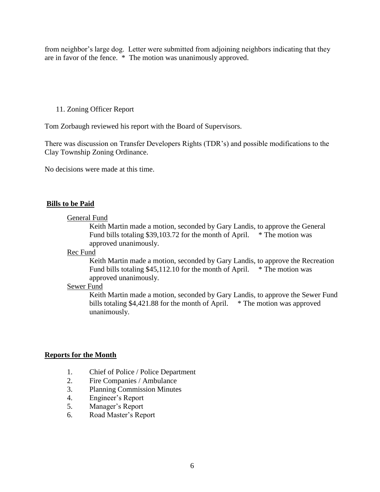from neighbor's large dog. Letter were submitted from adjoining neighbors indicating that they are in favor of the fence. \* The motion was unanimously approved.

# 11. Zoning Officer Report

Tom Zorbaugh reviewed his report with the Board of Supervisors.

There was discussion on Transfer Developers Rights (TDR's) and possible modifications to the Clay Township Zoning Ordinance.

No decisions were made at this time.

### **Bills to be Paid**

#### General Fund

Keith Martin made a motion, seconded by Gary Landis, to approve the General Fund bills totaling \$39,103.72 for the month of April. \* The motion was approved unanimously.

#### Rec Fund

Keith Martin made a motion, seconded by Gary Landis, to approve the Recreation Fund bills totaling \$45,112.10 for the month of April.  $*$  The motion was approved unanimously.

#### Sewer Fund

Keith Martin made a motion, seconded by Gary Landis, to approve the Sewer Fund bills totaling \$4,421.88 for the month of April. \* The motion was approved unanimously.

#### **Reports for the Month**

- 1. Chief of Police / Police Department
- 2. Fire Companies / Ambulance
- 3. Planning Commission Minutes
- 4. Engineer's Report
- 5. Manager's Report
- 6. Road Master's Report